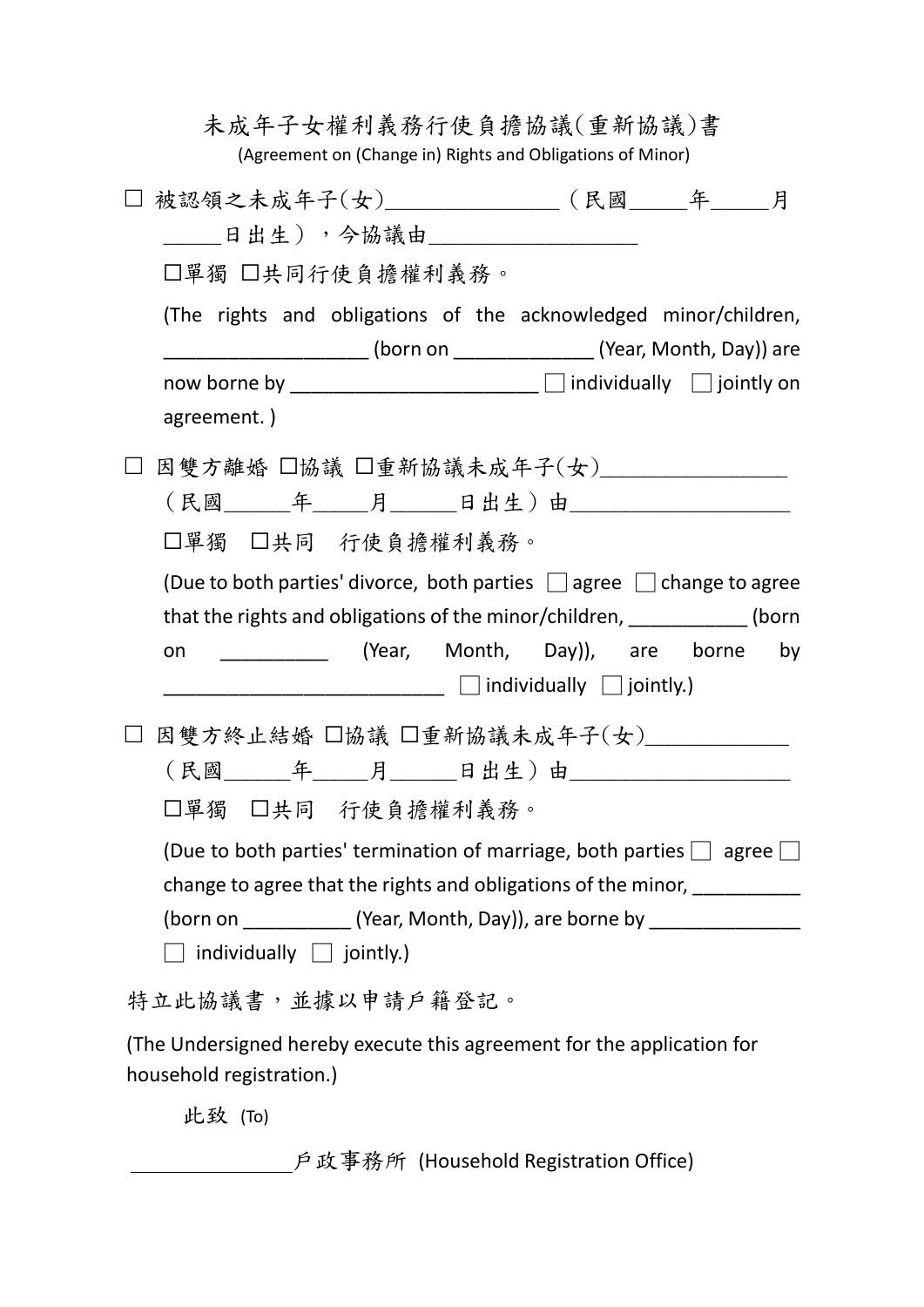|                   |                                                                                                                                                                                                                                                                                                                                                           | 未成年子女權利義務行使負擔協議(重新協議)書<br>(Agreement on (Change in) Rights and Obligations of Minor)                                                                              |  |                                   |  |
|-------------------|-----------------------------------------------------------------------------------------------------------------------------------------------------------------------------------------------------------------------------------------------------------------------------------------------------------------------------------------------------------|-------------------------------------------------------------------------------------------------------------------------------------------------------------------|--|-----------------------------------|--|
|                   | 被認領之未成年子(女)______________(民國_____年____月                                                                                                                                                                                                                                                                                                                   |                                                                                                                                                                   |  |                                   |  |
|                   | 日出生),今協議由__________________                                                                                                                                                                                                                                                                                                                               |                                                                                                                                                                   |  |                                   |  |
|                   | □單獨 □共同行使負擔權利義務。                                                                                                                                                                                                                                                                                                                                          |                                                                                                                                                                   |  |                                   |  |
|                   | (The rights and obligations of the acknowledged minor/children,<br>__________________________ (born on _________________________(Year, Month, Day)) are                                                                                                                                                                                                   |                                                                                                                                                                   |  |                                   |  |
|                   |                                                                                                                                                                                                                                                                                                                                                           |                                                                                                                                                                   |  |                                   |  |
|                   | agreement.)                                                                                                                                                                                                                                                                                                                                               |                                                                                                                                                                   |  |                                   |  |
|                   | 因雙方離婚 □協議 □重新協議未成年子(女) ─────────                                                                                                                                                                                                                                                                                                                          |                                                                                                                                                                   |  |                                   |  |
|                   | (民國_______年_____月______日出生)由_____________________                                                                                                                                                                                                                                                                                                         |                                                                                                                                                                   |  |                                   |  |
| □單獨 □共同 行使負擔權利義務。 |                                                                                                                                                                                                                                                                                                                                                           |                                                                                                                                                                   |  |                                   |  |
|                   | (Due to both parties' divorce, both parties $\Box$ agree $\Box$ change to agree<br>that the rights and obligations of the minor/children, ____________ (born<br>on                                                                                                                                                                                        | $\begin{array}{c} \begin{array}{c} \begin{array}{c} \end{array} \end{array}$ $\begin{array}{c} \end{array}$ individually $\begin{array}{c} \end{array}$ jointly.) |  | (Year, Month, Day)), are borne by |  |
|                   | 因雙方終止結婚 □協議 □重新協議未成年子(女)_______                                                                                                                                                                                                                                                                                                                           |                                                                                                                                                                   |  |                                   |  |
|                   | (民國_______年______月_______日出生)由_______________________<br>□單獨 □共同 行使負擔權利義務。<br>(Due to both parties' termination of marriage, both parties $\Box$ agree $\Box$<br>change to agree that the rights and obligations of the minor, ___________<br>(born on _____________(Year, Month, Day)), are borne by __________________<br>individually $\Box$ jointly.) |                                                                                                                                                                   |  |                                   |  |
|                   |                                                                                                                                                                                                                                                                                                                                                           |                                                                                                                                                                   |  |                                   |  |
|                   |                                                                                                                                                                                                                                                                                                                                                           |                                                                                                                                                                   |  |                                   |  |
| 特立此協議書,並據以申請戶籍登記。 |                                                                                                                                                                                                                                                                                                                                                           |                                                                                                                                                                   |  |                                   |  |
|                   | (The Undersigned hereby execute this agreement for the application for<br>household registration.)                                                                                                                                                                                                                                                        |                                                                                                                                                                   |  |                                   |  |

此致 (To)

戶政事務所 (Household Registration Office)